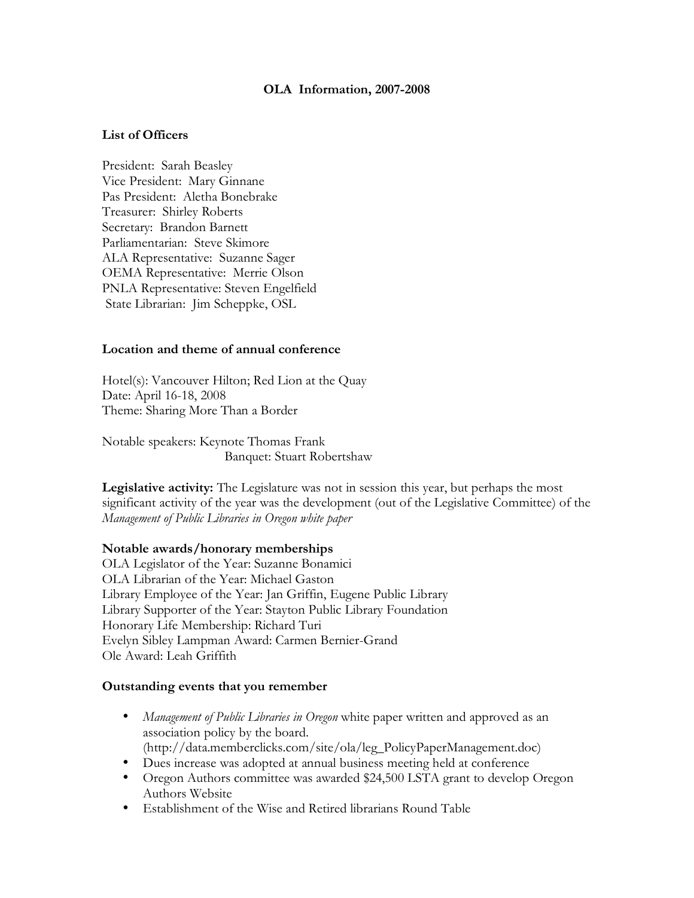#### **OLA Information, 2007-2008**

## **List of Officers**

President: Sarah Beasley Vice President: Mary Ginnane Pas President: Aletha Bonebrake Treasurer: Shirley Roberts Secretary: Brandon Barnett Parliamentarian: Steve Skimore ALA Representative: Suzanne Sager OEMA Representative: Merrie Olson PNLA Representative: Steven Engelfield State Librarian: Jim Scheppke, OSL

### **Location and theme of annual conference**

Hotel(s): Vancouver Hilton; Red Lion at the Quay Date: April 16-18, 2008 Theme: Sharing More Than a Border

Notable speakers: Keynote Thomas Frank Banquet: Stuart Robertshaw

**Legislative activity:** The Legislature was not in session this year, but perhaps the most significant activity of the year was the development (out of the Legislative Committee) of the *Management of Public Libraries in Oregon white paper*

#### **Notable awards/honorary memberships**

OLA Legislator of the Year: Suzanne Bonamici OLA Librarian of the Year: Michael Gaston Library Employee of the Year: Jan Griffin, Eugene Public Library Library Supporter of the Year: Stayton Public Library Foundation Honorary Life Membership: Richard Turi Evelyn Sibley Lampman Award: Carmen Bernier-Grand Ole Award: Leah Griffith

#### **Outstanding events that you remember**

- *Management of Public Libraries in Oregon* white paper written and approved as an association policy by the board. (http://data.memberclicks.com/site/ola/leg\_PolicyPaperManagement.doc)
- Dues increase was adopted at annual business meeting held at conference
- Oregon Authors committee was awarded \$24,500 LSTA grant to develop Oregon Authors Website
- Establishment of the Wise and Retired librarians Round Table